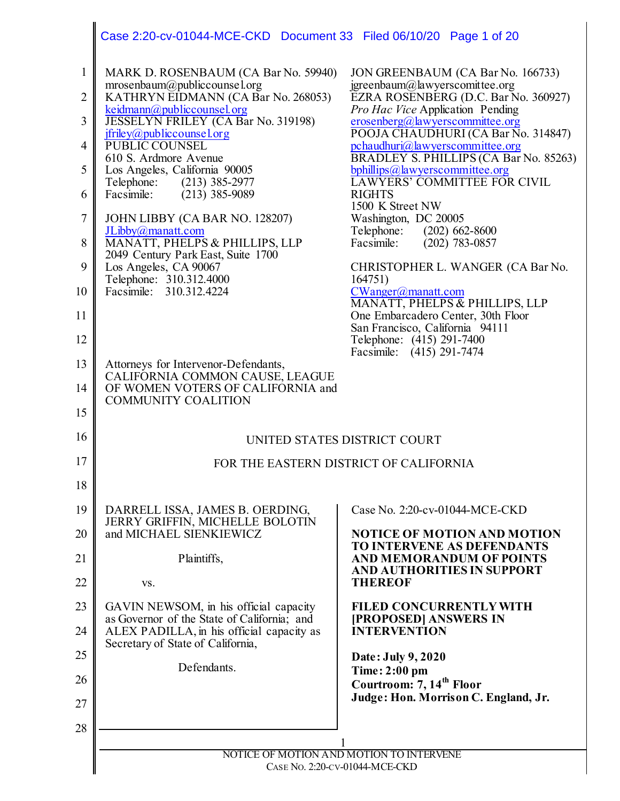|                  | Case 2:20-cv-01044-MCE-CKD Document 33 Filed 06/10/20 Page 1 of 20                                                            |                                                                                            |
|------------------|-------------------------------------------------------------------------------------------------------------------------------|--------------------------------------------------------------------------------------------|
| $\mathbf{1}$     | MARK D. ROSENBAUM (CA Bar No. 59940)                                                                                          | JON GREENBAUM (CA Bar No. 166733)                                                          |
| $\overline{2}$   | mrosenbaum@publiccounsel.org<br>KATHRYN EIDMANN (CA Bar No. 268053)                                                           | jgreenbaum@lawyerscomittee.org<br>EZRA ROSENBERG (D.C. Bar No. 360927)                     |
| 3                | keidmann@publiccounsel.org<br>JESSELYN FRILEY (CA Bar No. 319198)                                                             | Pro Hac Vice Application Pending<br>erosenberg@lawyerscommittee.org                        |
| $\overline{4}$   | jfriley@publiccounsel.org<br>PUBLIC COUNSEL                                                                                   | POOJA CHAUDHURI (CA Bar No. 314847)<br>pchaudhuri@lawyerscommittee.org                     |
| 5                | 610 S. Ardmore Avenue<br>Los Angeles, California 90005                                                                        | BRADLEY S. PHILLIPS (CA Bar No. 85263)<br>bphillips@lawyerscommittee.org                   |
| 6                | Telephone: (213) 385-2977<br>Facsimile:<br>$(213)$ 385-9089                                                                   | <b>LAWYERS' COMMITTEE FOR CIVIL</b><br><b>RIGHTS</b>                                       |
| $\boldsymbol{7}$ | JOHN LIBBY (CA BAR NO. 128207)                                                                                                | 1500 K Street NW<br>Washington, DC 20005                                                   |
| 8                | JLibby@manatt.com<br>MANATT, PHELPS & PHILLIPS, LLP                                                                           | Telephone: (202) 662-8600<br>Facsimile:<br>$(202)$ 783-0857                                |
| 9                | 2049 Century Park East, Suite 1700                                                                                            | CHRISTOPHER L. WANGER (CA Bar No.                                                          |
|                  | Los Angeles, CA 90067<br>Telephone: 310.312.4000                                                                              | 164751)                                                                                    |
| 10<br>11         | Facsimile: 310.312.4224                                                                                                       | CWanger@manatt.com<br>MANATT, PHELPS & PHILLIPS, LLP<br>One Embarcadero Center, 30th Floor |
| 12               |                                                                                                                               | San Francisco, California 94111<br>Telephone: (415) 291-7400                               |
|                  |                                                                                                                               | Facsimile: (415) 291-7474                                                                  |
| 13               | Attorneys for Intervenor-Defendants,<br>CALIFORNIA COMMON CAUSE, LEAGUE                                                       |                                                                                            |
| 14               | OF WOMEN VOTERS OF CALIFORNIA and<br><b>COMMUNITY COALITION</b>                                                               |                                                                                            |
| 15               |                                                                                                                               |                                                                                            |
| 16               |                                                                                                                               | UNITED STATES DISTRICT COURT                                                               |
| 17               |                                                                                                                               | FOR THE EASTERN DISTRICT OF CALIFORNIA                                                     |
| 18               |                                                                                                                               |                                                                                            |
| 19               | DARRELL ISSA, JAMES B. OERDING,<br><b>JERRY GRIFFIN, MICHELLE BOLOTIN</b>                                                     | Case No. 2:20-cv-01044-MCE-CKD                                                             |
| 20               | and MICHAEL SIENKIEWICZ                                                                                                       | <b>NOTICE OF MOTION AND MOTION</b><br>TO INTERVENE AS DEFENDANTS                           |
| 21               | Plaintiffs,                                                                                                                   | <b>AND MEMORANDUM OF POINTS</b>                                                            |
| 22               | VS.                                                                                                                           | AND AUTHORITIES IN SUPPORT<br><b>THEREOF</b>                                               |
| 23               | GAVIN NEWSOM, in his official capacity                                                                                        | <b>FILED CONCURRENTLY WITH</b>                                                             |
| 24               | as Governor of the State of California; and<br>ALEX PADILLA, in his official capacity as<br>Secretary of State of California, | [PROPOSED] ANSWERS IN<br><b>INTERVENTION</b>                                               |
| 25               | Defendants.                                                                                                                   | Date: July 9, 2020                                                                         |
| 26               |                                                                                                                               | Time: 2:00 pm<br>Courtroom: 7, 14 <sup>th</sup> Floor                                      |
| 27               |                                                                                                                               | Judge: Hon. Morrison C. England, Jr.                                                       |
| 28               |                                                                                                                               |                                                                                            |
|                  | NOTICE OF MOTION AND MOTION TO INTERVENE                                                                                      |                                                                                            |
|                  | CASE No. 2:20-CV-01044-MCE-CKD                                                                                                |                                                                                            |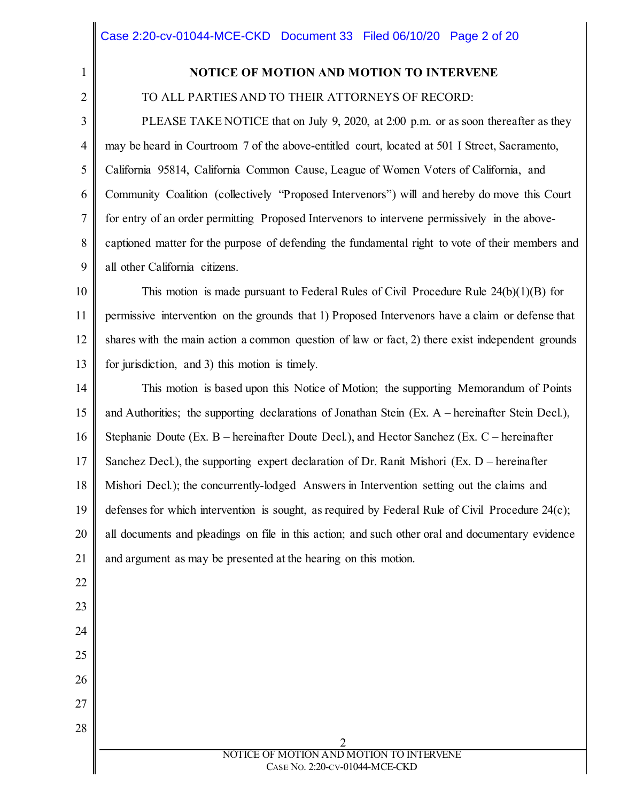1 2

22

23

24

25

26

27

28

### **NOTICE OF MOTION AND MOTION TO INTERVENE**

TO ALL PARTIES AND TO THEIR ATTORNEYS OF RECORD:

3 4 5 6 7 8 9 PLEASE TAKE NOTICE that on July 9, 2020, at 2:00 p.m. or as soon thereafter as they may be heard in Courtroom 7 of the above-entitled court, located at 501 I Street, Sacramento, California 95814, California Common Cause, League of Women Voters of California, and Community Coalition (collectively "Proposed Intervenors") will and hereby do move this Court for entry of an order permitting Proposed Intervenors to intervene permissively in the abovecaptioned matter for the purpose of defending the fundamental right to vote of their members and all other California citizens.

10 11 12 13 This motion is made pursuant to Federal Rules of Civil Procedure Rule 24(b)(1)(B) for permissive intervention on the grounds that 1) Proposed Intervenors have a claim or defense that shares with the main action a common question of law or fact, 2) there exist independent grounds for jurisdiction, and 3) this motion is timely.

14 15 16 17 18 19 20 21 This motion is based upon this Notice of Motion; the supporting Memorandum of Points and Authorities; the supporting declarations of Jonathan Stein (Ex. A – hereinafter Stein Decl.), Stephanie Doute (Ex. B – hereinafter Doute Decl.), and Hector Sanchez (Ex. C – hereinafter Sanchez Decl.), the supporting expert declaration of Dr. Ranit Mishori (Ex. D – hereinafter Mishori Decl.); the concurrently-lodged Answers in Intervention setting out the claims and defenses for which intervention is sought, as required by Federal Rule of Civil Procedure 24(c); all documents and pleadings on file in this action; and such other oral and documentary evidence and argument as may be presented at the hearing on this motion.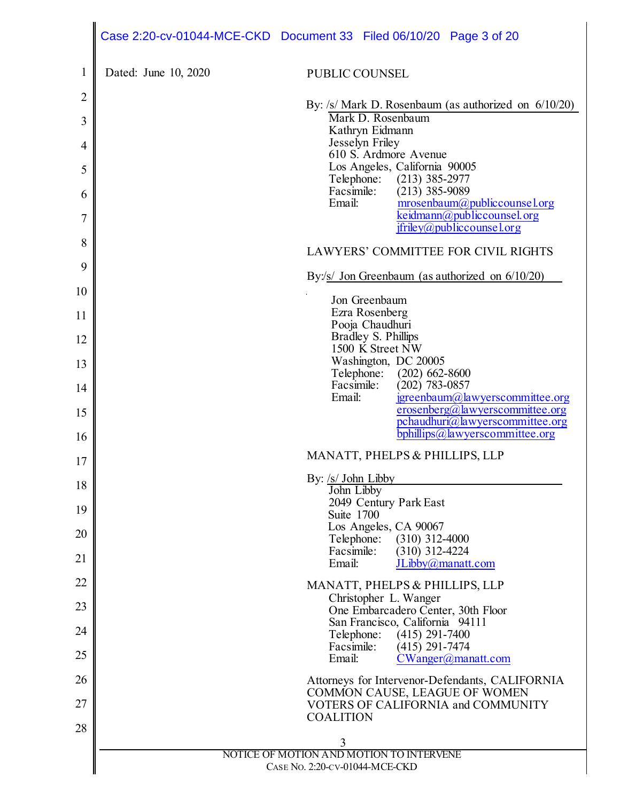|    |                      | Case 2:20-cv-01044-MCE-CKD Document 33 Filed 06/10/20 Page 3 of 20               |
|----|----------------------|----------------------------------------------------------------------------------|
| 1  | Dated: June 10, 2020 | PUBLIC COUNSEL                                                                   |
| 2  |                      | By: $\sqrt{s}$ Mark D. Rosenbaum (as authorized on $6/10/20$ )                   |
| 3  |                      | Mark D. Rosenbaum<br>Kathryn Eidmann                                             |
| 4  |                      | Jesselyn Friley<br>610 S. Ardmore Avenue                                         |
| 5  |                      | Los Angeles, California 90005<br>Telephone: (213) 385-2977                       |
| 6  |                      | Facsimile:<br>$(213)$ 385-9089<br>Email:<br>mrosenbaum@publiccounsel.org         |
| 7  |                      | keidmann@publiccounsel.org<br>$ifriley@public course'$ .org                      |
| 8  |                      | <b>LAWYERS' COMMITTEE FOR CIVIL RIGHTS</b>                                       |
| 9  |                      | By:/s/ Jon Greenbaum (as authorized on $6/10/20$ )                               |
| 10 |                      | Jon Greenbaum                                                                    |
| 11 |                      | Ezra Rosenberg<br>Pooja Chaudhuri                                                |
| 12 |                      | Bradley S. Phillips<br>1500 K Street NW                                          |
| 13 |                      | Washington, DC 20005<br>Telephone: (202) 662-8600                                |
| 14 |                      | Facsimile:<br>$(202)$ 783-0857<br>Email:<br>jgreenbaum@lawyerscommittee.org      |
| 15 |                      | $\frac{1}{2}$ erosenberg@lawyerscommittee.org<br>pchaudhuri@lawyerscommittee.org |
| 16 |                      | bphillips@lawyerscommittee.org                                                   |
| 17 |                      | MANATT, PHELPS & PHILLIPS, LLP                                                   |
| 18 |                      | By: /s/ John Libby<br>John Libby                                                 |
| 19 |                      | 2049 Century Park East<br>Suite 1700                                             |
| 20 |                      | Los Angeles, CA 90067                                                            |
| 21 |                      | $(310)$ 312-4000<br>Telephone:<br>$(310)$ 312-4224<br>Facsimile:<br>Email:       |
| 22 |                      | JLibby@manatt.com<br>MANATT, PHELPS & PHILLIPS, LLP                              |
| 23 |                      | Christopher L. Wanger                                                            |
| 24 |                      | One Embarcadero Center, 30th Floor<br>San Francisco, California 94111            |
|    |                      | Telephone:<br>$(415)$ 291-7400<br>Facsimile:<br>$(415)$ 291-7474                 |
| 25 |                      | Email:<br>$CWanger(a)$ manatt.com                                                |
| 26 |                      | Attorneys for Intervenor-Defendants, CALIFORNIA<br>COMMON CAUSE, LEAGUE OF WOMEN |
| 27 |                      | VOTERS OF CALIFORNIA and COMMUNITY<br><b>COALITION</b>                           |
| 28 |                      | 3                                                                                |
|    |                      | NOTICE OF MOTION AND MOTION TO INTERVENE                                         |
|    |                      | CASE No. 2:20-CV-01044-MCE-CKD                                                   |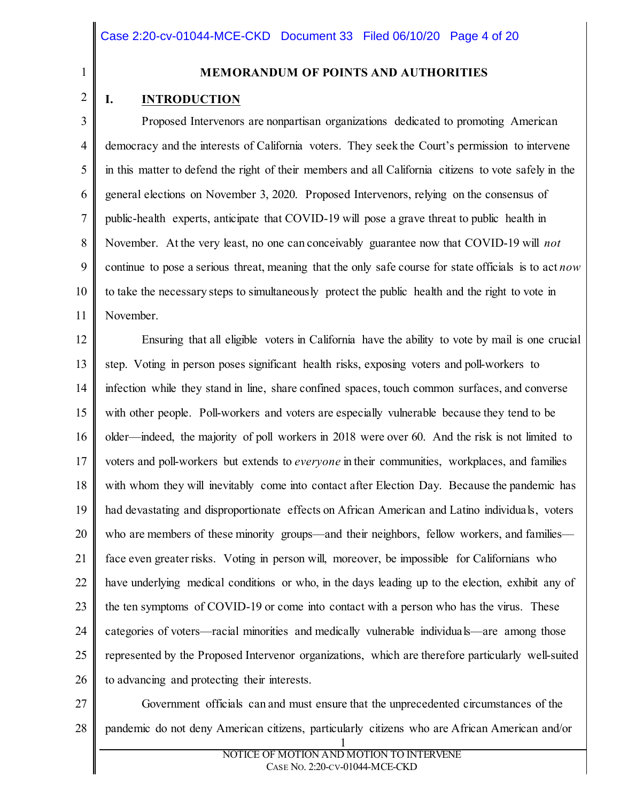1 2

#### **MEMORANDUM OF POINTS AND AUTHORITIES**

#### **I. INTRODUCTION**

3 4 5 6 7 8 9 10 11 Proposed Intervenors are nonpartisan organizations dedicated to promoting American democracy and the interests of California voters. They seek the Court's permission to intervene in this matter to defend the right of their members and all California citizens to vote safely in the general elections on November 3, 2020. Proposed Intervenors, relying on the consensus of public-health experts, anticipate that COVID-19 will pose a grave threat to public health in November. At the very least, no one can conceivably guarantee now that COVID-19 will *not* continue to pose a serious threat, meaning that the only safe course for state officials is to act *now*  to take the necessary steps to simultaneously protect the public health and the right to vote in November.

12 13 14 15 16 17 18 19 20 21 22 23 24 25 26 Ensuring that all eligible voters in California have the ability to vote by mail is one crucial step. Voting in person poses significant health risks, exposing voters and poll-workers to infection while they stand in line, share confined spaces, touch common surfaces, and converse with other people. Poll-workers and voters are especially vulnerable because they tend to be older—indeed, the majority of poll workers in 2018 were over 60. And the risk is not limited to voters and poll-workers but extends to *everyone* in their communities, workplaces, and families with whom they will inevitably come into contact after Election Day. Because the pandemic has had devastating and disproportionate effects on African American and Latino individuals, voters who are members of these minority groups—and their neighbors, fellow workers, and families face even greater risks. Voting in person will, moreover, be impossible for Californians who have underlying medical conditions or who, in the days leading up to the election, exhibit any of the ten symptoms of COVID-19 or come into contact with a person who has the virus. These categories of voters—racial minorities and medically vulnerable individuals—are among those represented by the Proposed Intervenor organizations, which are therefore particularly well-suited to advancing and protecting their interests.

27 28 Government officials can and must ensure that the unprecedented circumstances of the pandemic do not deny American citizens, particularly citizens who are African American and/or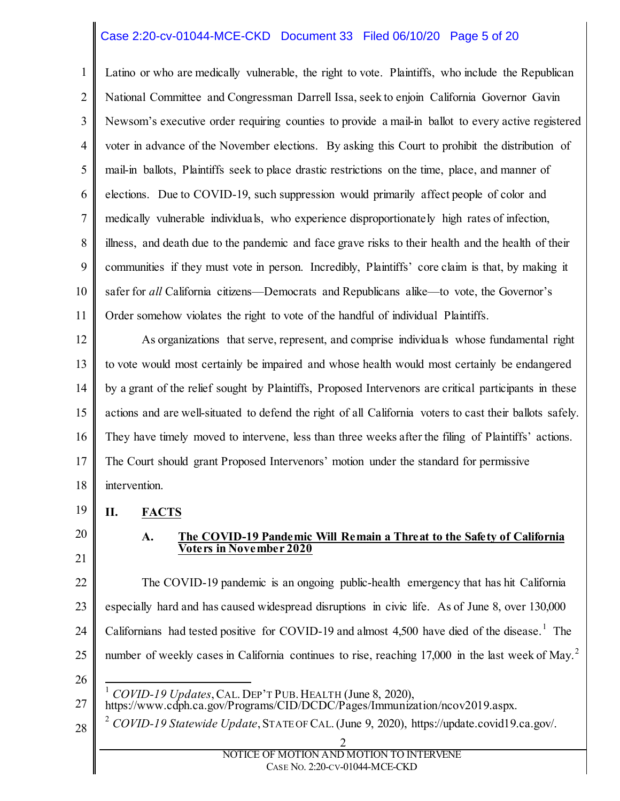#### Case 2:20-cv-01044-MCE-CKD Document 33 Filed 06/10/20 Page 5 of 20

1 2 3 4 5 6 7 8 9 10 11 Latino or who are medically vulnerable, the right to vote. Plaintiffs, who include the Republican National Committee and Congressman Darrell Issa, seek to enjoin California Governor Gavin Newsom's executive order requiring counties to provide a mail-in ballot to every active registered voter in advance of the November elections. By asking this Court to prohibit the distribution of mail-in ballots, Plaintiffs seek to place drastic restrictions on the time, place, and manner of elections. Due to COVID-19, such suppression would primarily affect people of color and medically vulnerable individuals, who experience disproportionately high rates of infection, illness, and death due to the pandemic and face grave risks to their health and the health of their communities if they must vote in person. Incredibly, Plaintiffs' core claim is that, by making it safer for *all* California citizens—Democrats and Republicans alike—to vote, the Governor's Order somehow violates the right to vote of the handful of individual Plaintiffs.

12 13 14 15 16 17 18 As organizations that serve, represent, and comprise individuals whose fundamental right to vote would most certainly be impaired and whose health would most certainly be endangered by a grant of the relief sought by Plaintiffs, Proposed Intervenors are critical participants in these actions and are well-situated to defend the right of all California voters to cast their ballots safely. They have timely moved to intervene, less than three weeks after the filing of Plaintiffs' actions. The Court should grant Proposed Intervenors' motion under the standard for permissive intervention.

- 19 **II. FACTS**
- 20 21

#### **A. The COVID-19 Pandemic Will Remain a Threat to the Safety of California Voters in November 2020**

22 23 24 25 The COVID-19 pandemic is an ongoing public-health emergency that has hit California especially hard and has caused widespread disruptions in civic life. As of June 8, over 130,000 Californians had tested positive for COVID-[1](#page-4-0)9 and almost  $4,500$  have died of the disease.<sup>1</sup> The number of weekly cases in California continues to rise, reaching  $17,000$  in the last week of May.<sup>[2](#page-4-1)</sup>

26

1 *COVID-19 Updates*, CAL. DEP'T PUB. HEALTH (June 8, 2020),

- <span id="page-4-0"></span>27 https://www.cdph.ca.gov/Programs/CID/DCDC/Pages/Immunization/ncov2019.aspx.
- <span id="page-4-1"></span>28 <sup>2</sup> *COVID-19 Statewide Update*, STATE OF CAL. (June 9, 2020), https://update.covid19.ca.gov/.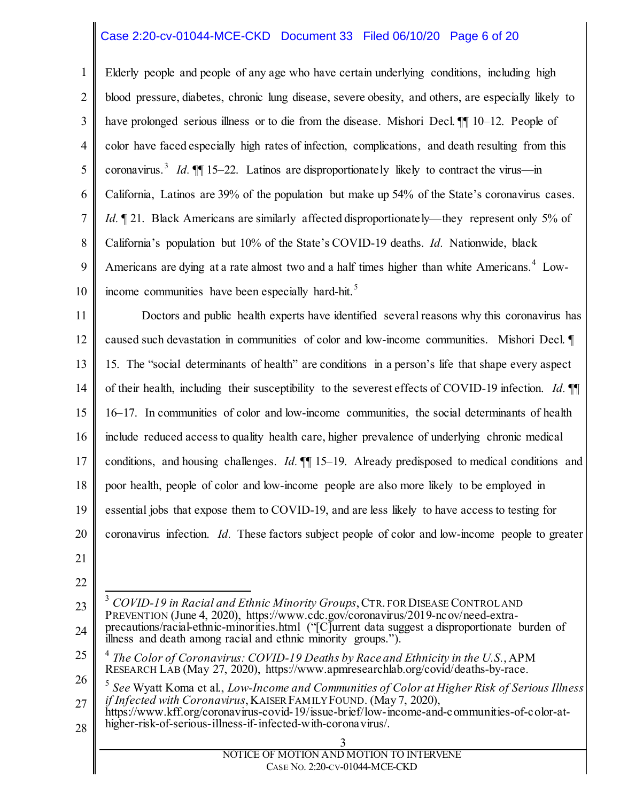#### Case 2:20-cv-01044-MCE-CKD Document 33 Filed 06/10/20 Page 6 of 20

1 2 3 4 5 6 7 8 9 10 Elderly people and people of any age who have certain underlying conditions, including high blood pressure, diabetes, chronic lung disease, severe obesity, and others, are especially likely to have prolonged serious illness or to die from the disease. Mishori Decl.  $\P$  10–12. People of color have faced especially high rates of infection, complications, and death resulting from this coronavirus.<sup>[3](#page-5-0)</sup> *Id.*  $\P\P$  15–22. Latinos are disproportionately likely to contract the virus—in California, Latinos are 39% of the population but make up 54% of the State's coronavirus cases. *Id.*  $\sqrt{21}$ . Black Americans are similarly affected disproportionately—they represent only 5% of California's population but 10% of the State's COVID-19 deaths. *Id.* Nationwide, black Americans are dying at a rate almost two and a half times higher than white Americans.<sup>[4](#page-5-1)</sup> Low-income communities have been especially hard-hit.<sup>[5](#page-5-2)</sup>

11 12 13 14 15 16 17 18 19 20 21 Doctors and public health experts have identified several reasons why this coronavirus has caused such devastation in communities of color and low-income communities. Mishori Decl. ¶ 15. The "social determinants of health" are conditions in a person's life that shape every aspect of their health, including their susceptibility to the severest effects of COVID-19 infection. *Id.* ¶¶ 16–17. In communities of color and low-income communities, the social determinants of health include reduced access to quality health care, higher prevalence of underlying chronic medical conditions, and housing challenges. *Id.*  $\P$  15–19. Already predisposed to medical conditions and poor health, people of color and low-income people are also more likely to be employed in essential jobs that expose them to COVID-19, and are less likely to have access to testing for coronavirus infection. *Id.* These factors subject people of color and low-income people to greater

- 22
- <span id="page-5-0"></span>23 24 3 *COVID-19 in Racial and Ethnic Minority Groups*, CTR. FOR DISEASE CONTROL AND PREVENTION (June 4, 2020), https://www.cdc.gov/coronavirus/2019-ncov/need-extraprecautions/racial-ethnic-minorities.html ("[C]urrent data suggest a disproportionate burden of illness and death among racial and ethnic minority groups.").
- <span id="page-5-1"></span>25 <sup>4</sup> *The Color of Coronavirus: COVID-19 Deaths by Race and Ethnicity in the U.S.*, APM RESEARCH LAB (May 27, 2020), https://www.apmresearchlab.org/covid/deaths-by-race.

<span id="page-5-2"></span>26 27 <sup>5</sup> *See* Wyatt Koma et al., *Low-Income and Communities of Color at Higher Risk of Serious Illness if Infected with Coronavirus*, KAISER FAMILY FOUND. (May 7, 2020),

28 https://www.kff.org/coronavirus-covid-19/issue-brief/low-income-and-communities-of-color-at- higher-risk-of-serious-illness-if-infected-with-coronavirus/.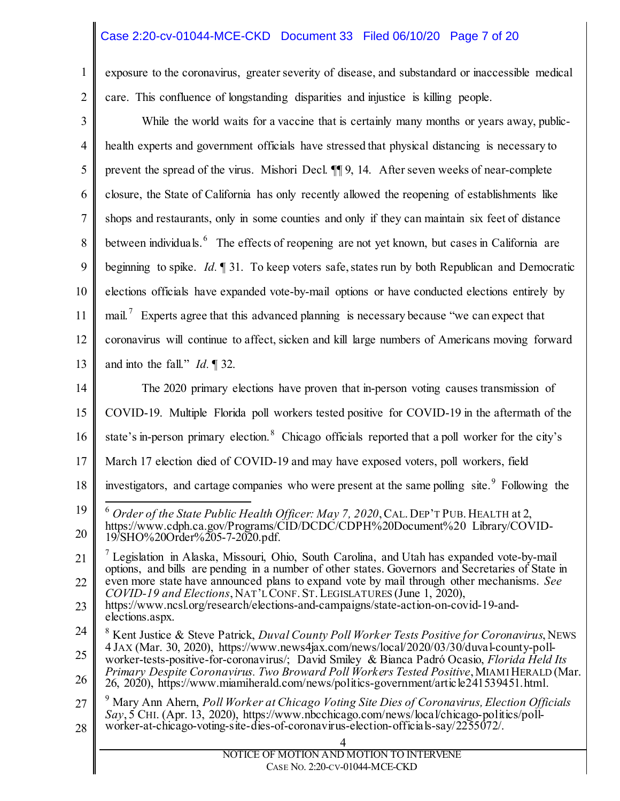## Case 2:20-cv-01044-MCE-CKD Document 33 Filed 06/10/20 Page 7 of 20

1 2 exposure to the coronavirus, greater severity of disease, and substandard or inaccessible medical care. This confluence of longstanding disparities and injustice is killing people.

<span id="page-6-3"></span><span id="page-6-2"></span><span id="page-6-1"></span><span id="page-6-0"></span>

| $\mathfrak{Z}$ | While the world waits for a vaccine that is certainly many months or years away, public-                                                                                                                                                                                      |  |  |
|----------------|-------------------------------------------------------------------------------------------------------------------------------------------------------------------------------------------------------------------------------------------------------------------------------|--|--|
| 4              | health experts and government officials have stressed that physical distancing is necessary to                                                                                                                                                                                |  |  |
| 5              | prevent the spread of the virus. Mishori Decl. ¶ 9, 14. After seven weeks of near-complete                                                                                                                                                                                    |  |  |
| 6              | closure, the State of California has only recently allowed the reopening of establishments like                                                                                                                                                                               |  |  |
| 7              | shops and restaurants, only in some counties and only if they can maintain six feet of distance                                                                                                                                                                               |  |  |
| 8              | between individuals. <sup>6</sup> The effects of reopening are not yet known, but cases in California are                                                                                                                                                                     |  |  |
| 9              | beginning to spike. Id. 1 31. To keep voters safe, states run by both Republican and Democratic                                                                                                                                                                               |  |  |
| 10             | elections officials have expanded vote-by-mail options or have conducted elections entirely by                                                                                                                                                                                |  |  |
| 11             | mail. Experts agree that this advanced planning is necessary because "we can expect that                                                                                                                                                                                      |  |  |
| 12             | coronavirus will continue to affect, sicken and kill large numbers of Americans moving forward                                                                                                                                                                                |  |  |
| 13             | and into the fall." $Id. \P$ 32.                                                                                                                                                                                                                                              |  |  |
| 14             | The 2020 primary elections have proven that in-person voting causes transmission of                                                                                                                                                                                           |  |  |
| 15             | COVID-19. Multiple Florida poll workers tested positive for COVID-19 in the aftermath of the                                                                                                                                                                                  |  |  |
| 16             | state's in-person primary election. <sup>8</sup> Chicago officials reported that a poll worker for the city's                                                                                                                                                                 |  |  |
| 17             | March 17 election died of COVID-19 and may have exposed voters, poll workers, field                                                                                                                                                                                           |  |  |
| 18             | investigators, and cartage companies who were present at the same polling site. <sup>9</sup> Following the                                                                                                                                                                    |  |  |
| 19<br>20       | Order of the State Public Health Officer: May 7, 2020, CAL. DEP'T PUB. HEALTH at 2,<br>https://www.cdph.ca.gov/Programs/CID/DCDC/CDPH%20Document%20 Library/COVID-<br>19/SHO%20Order%205-7-2020.pdf.                                                                          |  |  |
| 21             | <sup>7</sup> Legislation in Alaska, Missouri, Ohio, South Carolina, and Utah has expanded vote-by-mail<br>options, and bills are pending in a number of other states. Governors and Secretaries of State in                                                                   |  |  |
| 22             | even more state have announced plans to expand vote by mail through other mechanisms. See<br>COVID-19 and Elections, NAT'L CONF. ST. LEGISLATURES (June 1, 2020),                                                                                                             |  |  |
| 23             | https://www.ncsl.org/research/elections-and-campaigns/state-action-on-covid-19-and-<br>elections.aspx.                                                                                                                                                                        |  |  |
| 24             | Kent Justice & Steve Patrick, Duval County Poll Worker Tests Positive for Coronavirus, NEWS                                                                                                                                                                                   |  |  |
| 25             | 4 JAX (Mar. 30, 2020), https://www.news4jax.com/news/local/2020/03/30/duval-county-poll-<br>worker-tests-positive-for-coronavirus/; David Smiley & Bianca Padró Ocasio, Florida Held Its                                                                                      |  |  |
| 26             | Primary Despite Coronavirus. Two Broward Poll Workers Tested Positive, MIAMI HERALD (Mar.<br>26, 2020), https://www.miamiherald.com/news/politics-government/article241539451.html.                                                                                           |  |  |
| 27<br>28       | Mary Ann Ahern, Poll Worker at Chicago Voting Site Dies of Coronavirus, Election Officials<br>Say, 5 CHI. (Apr. 13, 2020), https://www.nbcchicago.com/news/local/chicago-politics/poll-<br>worker-at-chicago-voting-site-dies-of-coronavirus-election-officials-say/2255072/. |  |  |
|                | NOTICE OF MOTION AND MOTION TO INTERVENE                                                                                                                                                                                                                                      |  |  |
|                | CASE No. 2:20-CV-01044-MCE-CKD                                                                                                                                                                                                                                                |  |  |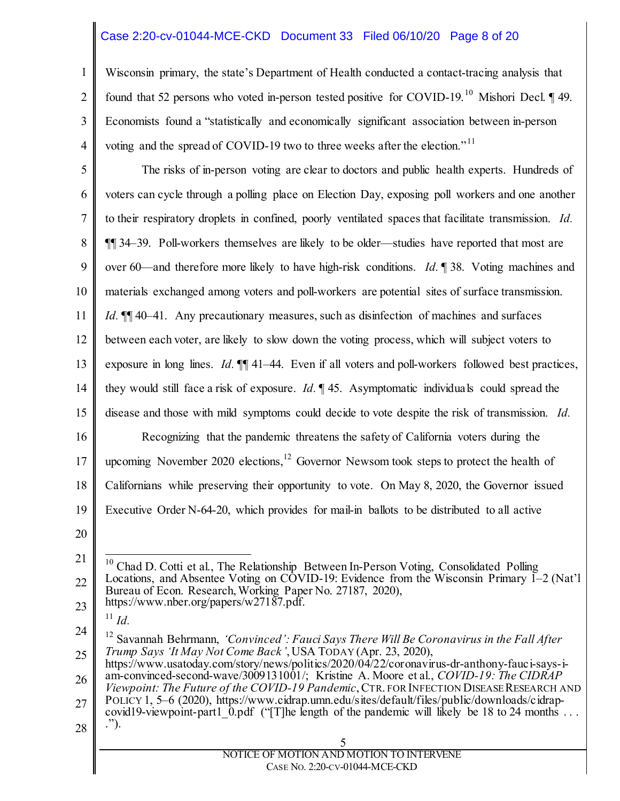#### Case 2:20-cv-01044-MCE-CKD Document 33 Filed 06/10/20 Page 8 of 20

1 2 3 4 Wisconsin primary, the state's Department of Health conducted a contact-tracing analysis that found that 52 persons who voted in-person tested positive for COVID-19.<sup>[10](#page-7-0)</sup> Mishori Decl.  $\P$  49. Economists found a "statistically and economically significant association between in-person voting and the spread of COVID-19 two to three weeks after the election."<sup>[11](#page-7-1)</sup>

5 6 7 8 9 10 11 12 13 14 15 16 17 18 19 The risks of in-person voting are clear to doctors and public health experts. Hundreds of voters can cycle through a polling place on Election Day, exposing poll workers and one another to their respiratory droplets in confined, poorly ventilated spaces that facilitate transmission. *Id.* ¶¶ 34–39. Poll-workers themselves are likely to be older—studies have reported that most are over 60—and therefore more likely to have high-risk conditions. *Id.* ¶ 38. Voting machines and materials exchanged among voters and poll-workers are potential sites of surface transmission. *Id.*  $\P$  40–41. Any precautionary measures, such as disinfection of machines and surfaces between each voter, are likely to slow down the voting process, which will subject voters to exposure in long lines. *Id.*  $\mathbb{I}$  41–44. Even if all voters and poll-workers followed best practices, they would still face a risk of exposure. *Id.* ¶ 45. Asymptomatic individuals could spread the disease and those with mild symptoms could decide to vote despite the risk of transmission. *Id.*  Recognizing that the pandemic threatens the safety of California voters during the upcoming November 2020 elections,  $^{12}$  $^{12}$  $^{12}$  Governor Newsom took steps to protect the health of Californians while preserving their opportunity to vote. On May 8, 2020, the Governor issued Executive Order N-64-20, which provides for mail-in ballots to be distributed to all active

20

 $^{11}$  *Id.* 

<span id="page-7-0"></span><sup>21</sup> 22 23 10 Chad D. Cotti et al., The Relationship Between In-Person Voting, Consolidated Polling Locations, and Absentee Voting on COVID-19: Evidence from the Wisconsin Primary 1–2 (Nat'l Bureau of Econ. Research, Working Paper No. 27187, 2020), https://www.nber.org/papers/w27187.pdf.

<span id="page-7-2"></span><span id="page-7-1"></span><sup>24</sup> 25 <sup>12</sup> Savannah Behrmann, *'Convinced': Fauci Says There Will Be Coronavirus in the Fall After Trump Says 'It May Not Come Back'*, USA TODAY (Apr. 23, 2020),

<sup>26</sup> https://www.usatoday.com/story/news/politics/2020/04/22/coronavirus-dr-anthony-fauci-says-iam-convinced-second-wave/3009131001/; Kristine A. Moore et al., *COVID-19: The CIDRAP Viewpoint: The Future of the COVID-19 Pandemic*, CTR. FOR INFECTION DISEASE RESEARCH AND

<sup>27</sup> 28 POLICY 1, 5–6 (2020), https://www.cidrap.umn.edu/sites/default/files/public/downloads/cidrapcovid19-viewpoint-part1\_0.pdf ("[T]he length of the pandemic will likely be 18 to 24 months ...<br>.").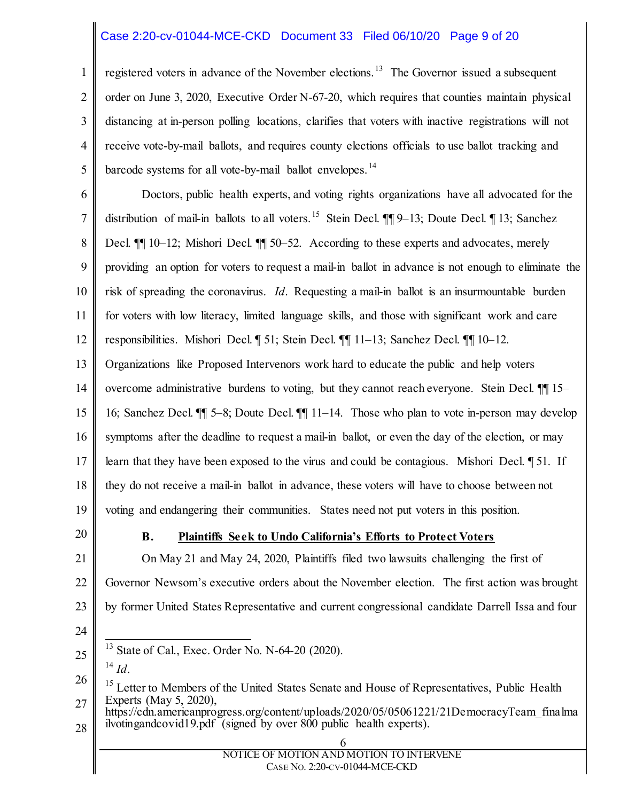#### Case 2:20-cv-01044-MCE-CKD Document 33 Filed 06/10/20 Page 9 of 20

1 2 3 4 5 registered voters in advance of the November elections.<sup>[13](#page-8-0)</sup> The Governor issued a subsequent order on June 3, 2020, Executive Order N-67-20, which requires that counties maintain physical distancing at in-person polling locations, clarifies that voters with inactive registrations will not receive vote-by-mail ballots, and requires county elections officials to use ballot tracking and barcode systems for all vote-by-mail ballot envelopes.<sup>[14](#page-8-1)</sup>

6 7 8 9 10 11 12 13 Doctors, public health experts, and voting rights organizations have all advocated for the distribution of mail-in ballots to all voters.<sup>[15](#page-8-2)</sup> Stein Decl.  $\P\P 9-13$ ; Doute Decl.  $\P 13$ ; Sanchez Decl. **[1]** 10–12; Mishori Decl. **11** 50–52. According to these experts and advocates, merely providing an option for voters to request a mail-in ballot in advance is not enough to eliminate the risk of spreading the coronavirus. *Id*. Requesting a mail-in ballot is an insurmountable burden for voters with low literacy, limited language skills, and those with significant work and care responsibilities. Mishori Decl. ¶ 51; Stein Decl. ¶¶ 11–13; Sanchez Decl. ¶¶ 10–12. Organizations like Proposed Intervenors work hard to educate the public and help voters

14 overcome administrative burdens to voting, but they cannot reach everyone. Stein Decl. ¶¶ 15–

15 16; Sanchez Decl. ¶¶ 5–8; Doute Decl. ¶¶ 11–14. Those who plan to vote in-person may develop

16 symptoms after the deadline to request a mail-in ballot, or even the day of the election, or may

17 learn that they have been exposed to the virus and could be contagious. Mishori Decl. ¶ 51. If

18 they do not receive a mail-in ballot in advance, these voters will have to choose between not

19 voting and endangering their communities. States need not put voters in this position.

20

#### **B. Plaintiffs Seek to Undo California's Efforts to Protect Voters**

21 22 23 On May 21 and May 24, 2020, Plaintiffs filed two lawsuits challenging the first of Governor Newsom's executive orders about the November election. The first action was brought by former United States Representative and current congressional candidate Darrell Issa and four

- <span id="page-8-0"></span>25 State of Cal., Exec. Order No. N-64-20 (2020). <sup>14</sup> *Id*.
- <span id="page-8-1"></span>26

24

<span id="page-8-2"></span><sup>27</sup> <sup>15</sup> Letter to Members of the United States Senate and House of Representatives, Public Health Experts (May 5, 2020),

<sup>28</sup> https://cdn.americanprogress.org/content/uploads/2020/05/05061221/21DemocracyTeam\_finalma ilvotingandcovid19.pdf (signed by over 800 public health experts).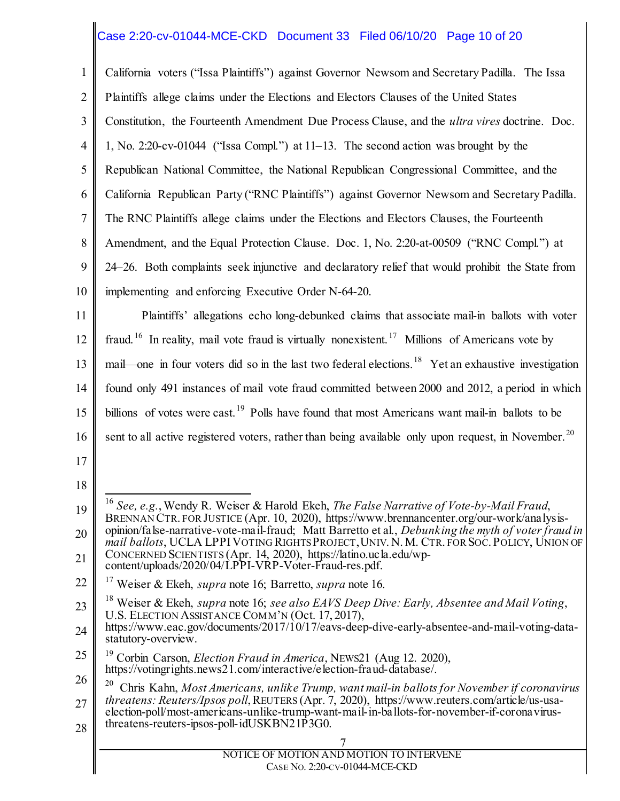# Case 2:20-cv-01044-MCE-CKD Document 33 Filed 06/10/20 Page 10 of 20

<span id="page-9-4"></span><span id="page-9-3"></span><span id="page-9-2"></span><span id="page-9-1"></span><span id="page-9-0"></span>

| $\mathbf{1}$   | California voters ("Issa Plaintiffs") against Governor Newsom and Secretary Padilla. The Issa                                                                                                                                                |  |  |
|----------------|----------------------------------------------------------------------------------------------------------------------------------------------------------------------------------------------------------------------------------------------|--|--|
|                |                                                                                                                                                                                                                                              |  |  |
| $\overline{2}$ | Plaintiffs allege claims under the Elections and Electors Clauses of the United States                                                                                                                                                       |  |  |
| 3              | Constitution, the Fourteenth Amendment Due Process Clause, and the <i>ultra vires</i> doctrine. Doc.                                                                                                                                         |  |  |
| $\overline{4}$ | 1, No. 2:20-cv-01044 ("Issa Compl.") at 11–13. The second action was brought by the                                                                                                                                                          |  |  |
| 5              | Republican National Committee, the National Republican Congressional Committee, and the                                                                                                                                                      |  |  |
| 6              | California Republican Party ("RNC Plaintiffs") against Governor Newsom and Secretary Padilla.                                                                                                                                                |  |  |
| $\tau$         | The RNC Plaintiffs allege claims under the Elections and Electors Clauses, the Fourteenth                                                                                                                                                    |  |  |
| 8              | Amendment, and the Equal Protection Clause. Doc. 1, No. 2:20-at-00509 ("RNC Compl.") at                                                                                                                                                      |  |  |
| 9              | 24–26. Both complaints seek injunctive and declaratory relief that would prohibit the State from                                                                                                                                             |  |  |
| 10             | implementing and enforcing Executive Order N-64-20.                                                                                                                                                                                          |  |  |
| 11             | Plaintiffs' allegations echo long-debunked claims that associate mail-in ballots with voter                                                                                                                                                  |  |  |
| 12             | fraud. <sup>16</sup> In reality, mail vote fraud is virtually nonexistent. <sup>17</sup> Millions of Americans vote by                                                                                                                       |  |  |
| 13             | mail—one in four voters did so in the last two federal elections. <sup>18</sup> Yet an exhaustive investigation                                                                                                                              |  |  |
| 14             | found only 491 instances of mail vote fraud committed between 2000 and 2012, a period in which                                                                                                                                               |  |  |
| 15             | billions of votes were cast. <sup>19</sup> Polls have found that most Americans want mail-in ballots to be                                                                                                                                   |  |  |
| 16             | sent to all active registered voters, rather than being available only upon request, in November. <sup>20</sup>                                                                                                                              |  |  |
| 17             |                                                                                                                                                                                                                                              |  |  |
| 18             |                                                                                                                                                                                                                                              |  |  |
| 19             | <sup>16</sup> See, e.g., Wendy R. Weiser & Harold Ekeh, The False Narrative of Vote-by-Mail Fraud,<br>BRENNAN CTR. FOR JUSTICE (Apr. 10, 2020), https://www.brennancenter.org/our-work/analysis-                                             |  |  |
| 20             | opinion/false-narrative-vote-mail-fraud; Matt Barretto et al., Debunking the myth of voter fraud in<br>mail ballots, UCLA LPPI VOTING RIGHTS PROJECT, UNIV. N. M. CTR. FOR SOC. POLICY, UNION OF                                             |  |  |
| 21             | CONCERNED SCIENTISTS (Apr. 14, 2020), https://latino.ucla.edu/wp-<br>content/uploads/2020/04/LPPI-VRP-Voter-Fraud-res.pdf.                                                                                                                   |  |  |
| 22             | <sup>17</sup> Weiser & Ekeh, <i>supra</i> note 16; Barretto, <i>supra</i> note 16.                                                                                                                                                           |  |  |
| 23             | <sup>18</sup> Weiser & Ekeh, <i>supra</i> note 16; see also EAVS Deep Dive: Early, Absentee and Mail Voting,<br>U.S. ELECTION ASSISTANCE COMM'N (Oct. 17, 2017),                                                                             |  |  |
| 24             | https://www.eac.gov/documents/2017/10/17/eavs-deep-dive-early-absentee-and-mail-voting-data-<br>statutory-overview.                                                                                                                          |  |  |
| 25             | 19<br>Corbin Carson, Election Fraud in America, NEWS21 (Aug 12. 2020),<br>https://votingrights.news21.com/interactive/election-fraud-database/.                                                                                              |  |  |
| 26             | 20<br>Chris Kahn, Most Americans, unlike Trump, want mail-in ballots for November if coronavirus                                                                                                                                             |  |  |
| 27<br>28       | threatens: Reuters/Ipsos poll, REUTERS (Apr. 7, 2020), https://www.reuters.com/article/us-usa-<br>election-poll/most-americans-unlike-trump-want-mail-in-ballots-for-november-if-coronavirus-<br>threatens-reuters-ipsos-poll-idUSKBN21P3G0. |  |  |
|                |                                                                                                                                                                                                                                              |  |  |
|                | NOTICE OF MOTION AND MOTION TO INTERVENE<br>CASE No. 2:20-CV-01044-MCE-CKD                                                                                                                                                                   |  |  |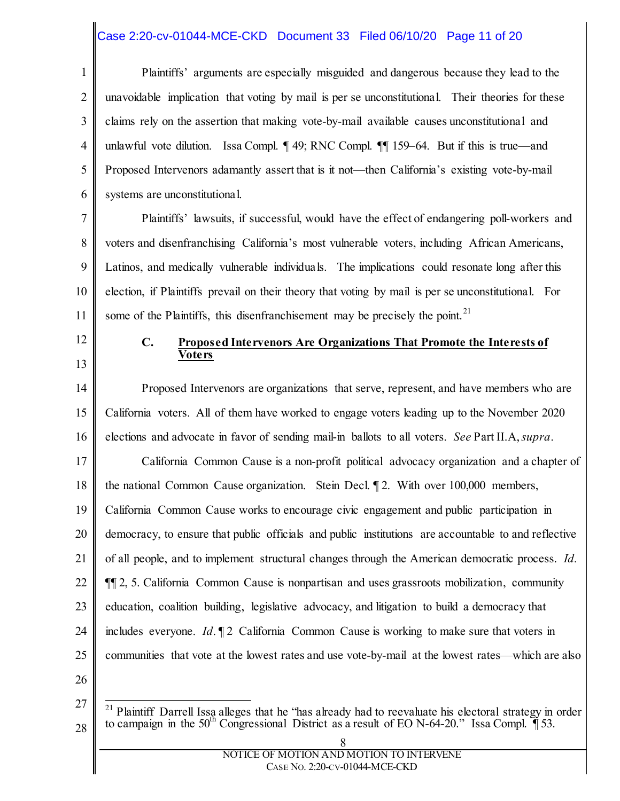#### Case 2:20-cv-01044-MCE-CKD Document 33 Filed 06/10/20 Page 11 of 20

1 2 3 4 5 6 Plaintiffs' arguments are especially misguided and dangerous because they lead to the unavoidable implication that voting by mail is per se unconstitutional. Their theories for these claims rely on the assertion that making vote-by-mail available causes unconstitutional and unlawful vote dilution. Issa Compl. ¶ 49; RNC Compl. ¶¶ 159–64. But if this is true—and Proposed Intervenors adamantly assert that is it not—then California's existing vote-by-mail systems are unconstitutional.

7 8 9 10 11 Plaintiffs' lawsuits, if successful, would have the effect of endangering poll-workers and voters and disenfranchising California's most vulnerable voters, including African Americans, Latinos, and medically vulnerable individuals. The implications could resonate long after this election, if Plaintiffs prevail on their theory that voting by mail is per se unconstitutional. For some of the Plaintiffs, this disenfranchisement may be precisely the point.<sup>21</sup>

12

13

#### **C. Proposed Intervenors Are Organizations That Promote the Interests of Voters**

14 15 16 17 18 19 20 21 22 23 24 25 Proposed Intervenors are organizations that serve, represent, and have members who are California voters. All of them have worked to engage voters leading up to the November 2020 elections and advocate in favor of sending mail-in ballots to all voters. *See* Part II.A, *supra*. California Common Cause is a non-profit political advocacy organization and a chapter of the national Common Cause organization. Stein Decl. ¶ 2. With over 100,000 members, California Common Cause works to encourage civic engagement and public participation in democracy, to ensure that public officials and public institutions are accountable to and reflective of all people, and to implement structural changes through the American democratic process. *Id.*  ¶¶ 2, 5. California Common Cause is nonpartisan and uses grassroots mobilization, community education, coalition building, legislative advocacy, and litigation to build a democracy that includes everyone. *Id*. ¶ 2 California Common Cause is working to make sure that voters in communities that vote at the lowest rates and use vote-by-mail at the lowest rates—which are also

26

<span id="page-10-0"></span><sup>27</sup> 28 <sup>21</sup> Plaintiff Darrell Issa alleges that he "has already had to reevaluate his electoral strategy in order to campaign in the 50th Congressional District as a result of EO N-64-20." Issa Compl. ¶ 53.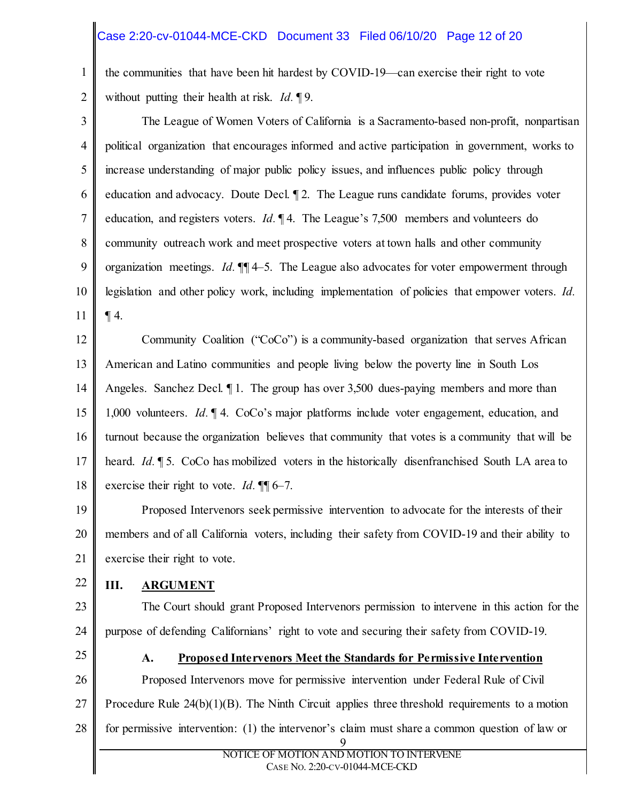### Case 2:20-cv-01044-MCE-CKD Document 33 Filed 06/10/20 Page 12 of 20

1 2 the communities that have been hit hardest by COVID-19—can exercise their right to vote without putting their health at risk. *Id.* ¶ 9.

3 4 5 6 7 8 9 10 11 The League of Women Voters of California is a Sacramento-based non-profit, nonpartisan political organization that encourages informed and active participation in government, works to increase understanding of major public policy issues, and influences public policy through education and advocacy. Doute Decl. ¶ 2. The League runs candidate forums, provides voter education, and registers voters. *Id.* 14. The League's 7,500 members and volunteers do community outreach work and meet prospective voters at town halls and other community organization meetings. *Id.* ¶¶ 4–5.The League also advocates for voter empowerment through legislation and other policy work, including implementation of policies that empower voters. *Id.*   $\P$  4.

12 13 14 15 16 17 18 Community Coalition ("CoCo") is a community-based organization that serves African American and Latino communities and people living below the poverty line in South Los Angeles. Sanchez Decl.  $\P$ 1. The group has over 3,500 dues-paying members and more than 1,000 volunteers. *Id.* ¶ 4. CoCo's major platforms include voter engagement, education, and turnout because the organization believes that community that votes is a community that will be heard. *Id.* **[5.** CoCo has mobilized voters in the historically disenfranchised South LA area to exercise their right to vote. *Id.* **¶** 6–7.

19 20 21 Proposed Intervenors seek permissive intervention to advocate for the interests of their members and of all California voters, including their safety from COVID-19 and their ability to exercise their right to vote.

22

#### **III. ARGUMENT**

23

24

# The Court should grant Proposed Intervenors permission to intervene in this action for the purpose of defending Californians' right to vote and securing their safety from COVID-19.

25

### **A. Proposed Intervenors Meet the Standards for Permissive Intervention**

26 27 28 9 Proposed Intervenors move for permissive intervention under Federal Rule of Civil Procedure Rule  $24(b)(1)(B)$ . The Ninth Circuit applies three threshold requirements to a motion for permissive intervention: (1) the intervenor's claim must share a common question of law or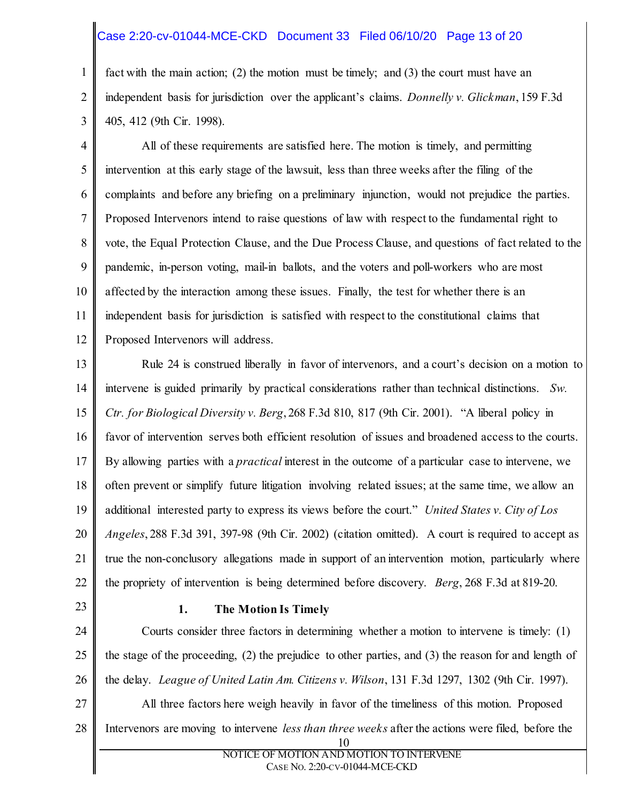#### Case 2:20-cv-01044-MCE-CKD Document 33 Filed 06/10/20 Page 13 of 20

1 2 3 fact with the main action; (2) the motion must be timely; and (3) the court must have an independent basis for jurisdiction over the applicant's claims. *Donnelly v. Glickman*, 159 F.3d 405, 412 (9th Cir. 1998).

4 5 6 7 8 9 10 11 12 All of these requirements are satisfied here. The motion is timely, and permitting intervention at this early stage of the lawsuit, less than three weeks after the filing of the complaints and before any briefing on a preliminary injunction, would not prejudice the parties. Proposed Intervenors intend to raise questions of law with respect to the fundamental right to vote, the Equal Protection Clause, and the Due Process Clause, and questions of fact related to the pandemic, in-person voting, mail-in ballots, and the voters and poll-workers who are most affected by the interaction among these issues. Finally, the test for whether there is an independent basis for jurisdiction is satisfied with respect to the constitutional claims that Proposed Intervenors will address.

13 14 15 16 17 18 19 20 21 22 Rule 24 is construed liberally in favor of intervenors, and a court's decision on a motion to intervene is guided primarily by practical considerations rather than technical distinctions. *Sw. Ctr. for Biological Diversity v. Berg*, 268 F.3d 810, 817 (9th Cir. 2001). "A liberal policy in favor of intervention serves both efficient resolution of issues and broadened access to the courts. By allowing parties with a *practical* interest in the outcome of a particular case to intervene, we often prevent or simplify future litigation involving related issues; at the same time, we allow an additional interested party to express its views before the court." *United States v. City of Los Angeles*, 288 F.3d 391, 397-98 (9th Cir. 2002) (citation omitted). A court is required to accept as true the non-conclusory allegations made in support of an intervention motion, particularly where the propriety of intervention is being determined before discovery. *Berg*, 268 F.3d at 819-20.

23

27

#### **1. The Motion Is Timely**

24 25 26 Courts consider three factors in determining whether a motion to intervene is timely: (1) the stage of the proceeding, (2) the prejudice to other parties, and (3) the reason for and length of the delay. *League of United Latin Am. Citizens v. Wilson*, 131 F.3d 1297, 1302 (9th Cir. 1997).

- All three factors here weigh heavily in favor of the timeliness of this motion. Proposed
- 28 Intervenors are moving to intervene *less than three weeks* after the actions were filed, before the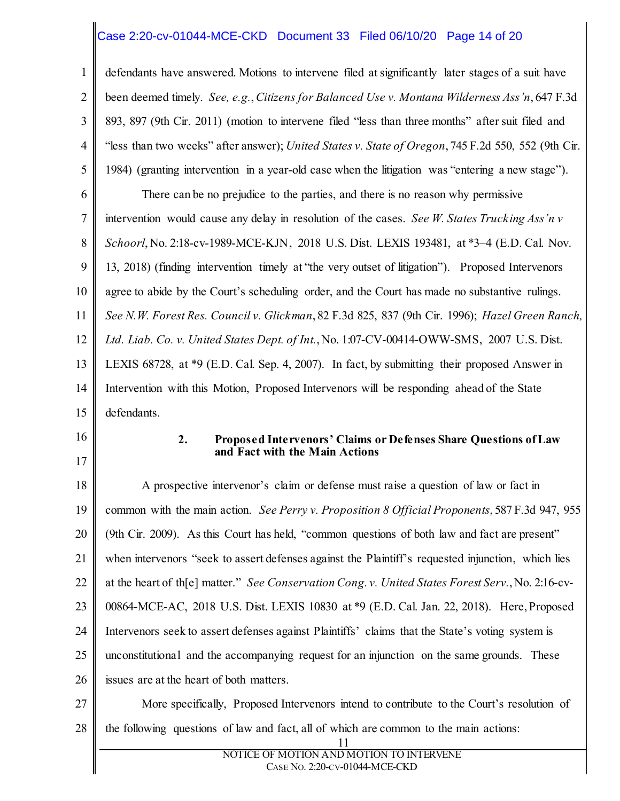### Case 2:20-cv-01044-MCE-CKD Document 33 Filed 06/10/20 Page 14 of 20

1 2 3 4 5 6 7 8 9 10 11 12 13 14 15 defendants have answered. Motions to intervene filed at significantly later stages of a suit have been deemed timely. *See, e.g.*, *Citizens for Balanced Use v. Montana Wilderness Ass'n*, 647 F.3d 893, 897 (9th Cir. 2011) (motion to intervene filed "less than three months" after suit filed and "less than two weeks" after answer); *United States v. State of Oregon*, 745 F.2d 550, 552 (9th Cir. 1984) (granting intervention in a year-old case when the litigation was "entering a new stage"). There can be no prejudice to the parties, and there is no reason why permissive intervention would cause any delay in resolution of the cases. *See W. States Trucking Ass'n v Schoorl*, No. 2:18-cv-1989-MCE-KJN, 2018 U.S. Dist. LEXIS 193481, at \*3–4 (E.D. Cal. Nov. 13, 2018) (finding intervention timely at "the very outset of litigation"). Proposed Intervenors agree to abide by the Court's scheduling order, and the Court has made no substantive rulings. *See N.W. Forest Res. Council v. Glickman*, 82 F.3d 825, 837 (9th Cir. 1996); *Hazel Green Ranch, Ltd. Liab. Co. v. United States Dept. of Int.*, No. 1:07-CV-00414-OWW-SMS, 2007 U.S. Dist. LEXIS 68728, at \*9 (E.D. Cal. Sep. 4, 2007). In fact, by submitting their proposed Answer in Intervention with this Motion, Proposed Intervenors will be responding ahead of the State defendants.

16

17

#### **2. Proposed Intervenors' Claims or Defenses Share Questions of Law and Fact with the Main Actions**

18 19 20 21 22 23 24 25 26 A prospective intervenor's claim or defense must raise a question of law or fact in common with the main action. *See Perry v. Proposition 8 Official Proponents*, 587 F.3d 947, 955 (9th Cir. 2009). As this Court has held, "common questions of both law and fact are present" when intervenors "seek to assert defenses against the Plaintiff's requested injunction, which lies at the heart of th[e] matter." *See Conservation Cong. v. United States Forest Serv.*, No. 2:16-cv-00864-MCE-AC, 2018 U.S. Dist. LEXIS 10830 at \*9 (E.D. Cal. Jan. 22, 2018). Here, Proposed Intervenors seek to assert defenses against Plaintiffs' claims that the State's voting system is unconstitutional and the accompanying request for an injunction on the same grounds. These issues are at the heart of both matters.

27 28 More specifically, Proposed Intervenors intend to contribute to the Court's resolution of the following questions of law and fact, all of which are common to the main actions: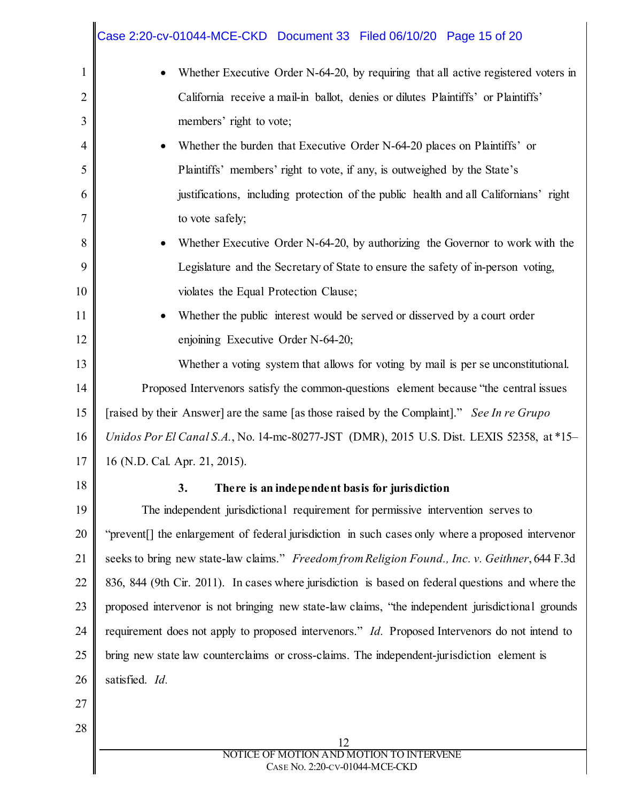|                | Case 2:20-cv-01044-MCE-CKD Document 33 Filed 06/10/20 Page 15 of 20                                           |  |  |
|----------------|---------------------------------------------------------------------------------------------------------------|--|--|
| $\mathbf{1}$   | Whether Executive Order N-64-20, by requiring that all active registered voters in                            |  |  |
| $\overline{2}$ | California receive a mail-in ballot, denies or dilutes Plaintiffs' or Plaintiffs'                             |  |  |
| 3              | members' right to vote;                                                                                       |  |  |
| $\overline{4}$ | Whether the burden that Executive Order N-64-20 places on Plaintiffs' or                                      |  |  |
| 5              | Plaintiffs' members' right to vote, if any, is outweighed by the State's                                      |  |  |
| 6              | justifications, including protection of the public health and all Californians' right                         |  |  |
| 7              | to vote safely;                                                                                               |  |  |
| 8              | Whether Executive Order N-64-20, by authorizing the Governor to work with the                                 |  |  |
| 9              | Legislature and the Secretary of State to ensure the safety of in-person voting,                              |  |  |
| 10             | violates the Equal Protection Clause;                                                                         |  |  |
| 11             | Whether the public interest would be served or disserved by a court order                                     |  |  |
| 12             | enjoining Executive Order N-64-20;                                                                            |  |  |
| 13             | Whether a voting system that allows for voting by mail is per se unconstitutional.                            |  |  |
| 14             | Proposed Intervenors satisfy the common-questions element because "the central issues                         |  |  |
| 15             | [raised by their Answer] are the same [as those raised by the Complaint]." See In re Grupo                    |  |  |
| 16             | Unidos Por El Canal S.A., No. 14-mc-80277-JST (DMR), 2015 U.S. Dist. LEXIS 52358, at *15-                     |  |  |
| 17             | 16 (N.D. Cal. Apr. 21, 2015).                                                                                 |  |  |
| 18             | 3.<br>There is an independent basis for jurisdiction                                                          |  |  |
| 19             | The independent jurisdictional requirement for permissive intervention serves to                              |  |  |
| 20             | "prevent <sup>[]</sup> the enlargement of federal jurisdiction in such cases only where a proposed intervenor |  |  |
| 21             | seeks to bring new state-law claims." Freedom from Religion Found., Inc. v. Geithner, 644 F.3d                |  |  |
| 22             | 836, 844 (9th Cir. 2011). In cases where jurisdiction is based on federal questions and where the             |  |  |
| 23             | proposed intervenor is not bringing new state-law claims, "the independent jurisdictional grounds             |  |  |
| 24             | requirement does not apply to proposed intervenors." <i>Id.</i> Proposed Intervenors do not intend to         |  |  |
| 25             | bring new state law counterclaims or cross-claims. The independent-jurisdiction element is                    |  |  |
| 26             | satisfied. Id.                                                                                                |  |  |
| 27             |                                                                                                               |  |  |
| 28             | 12                                                                                                            |  |  |
|                | NOTICE OF MOTION AND MOTION TO INTERVENE<br>CASE No. 2:20-CV-01044-MCE-CKD                                    |  |  |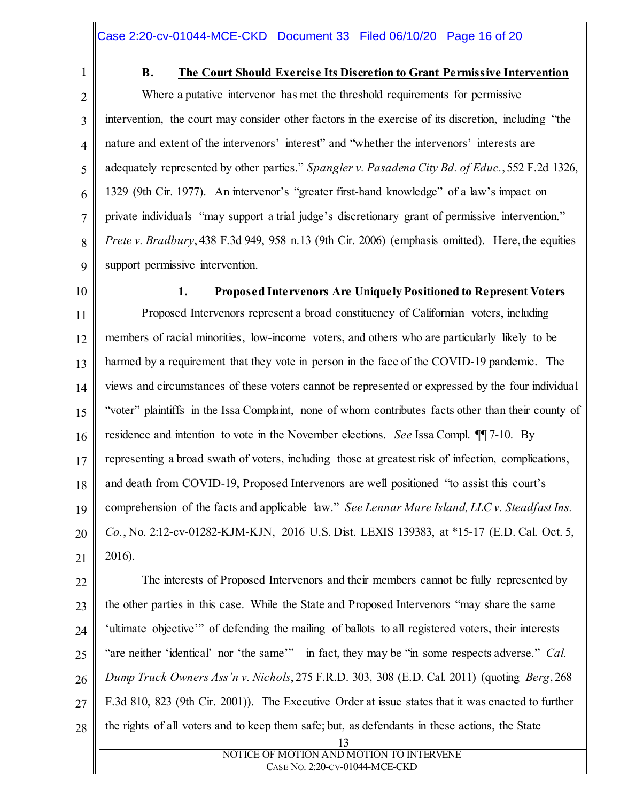1

#### **B. The Court Should Exercise Its Discretion to Grant Permissive Intervention**

2 3 4 5 6 7 8 9 Where a putative intervenor has met the threshold requirements for permissive intervention, the court may consider other factors in the exercise of its discretion, including "the nature and extent of the intervenors' interest" and "whether the intervenors' interests are adequately represented by other parties." *Spangler v. Pasadena City Bd. of Educ.*, 552 F.2d 1326, 1329 (9th Cir. 1977). An intervenor's "greater first-hand knowledge" of a law's impact on private individuals "may support a trial judge's discretionary grant of permissive intervention." *Prete v. Bradbury*, 438 F.3d 949, 958 n.13 (9th Cir. 2006) (emphasis omitted). Here, the equities support permissive intervention.

10

# **1. Proposed Intervenors Are Uniquely Positioned to Represent Voters**

11 12 13 14 15 16 17 18 19 20 21 Proposed Intervenors represent a broad constituency of Californian voters, including members of racial minorities, low-income voters, and others who are particularly likely to be harmed by a requirement that they vote in person in the face of the COVID-19 pandemic. The views and circumstances of these voters cannot be represented or expressed by the four individual "voter" plaintiffs in the Issa Complaint, none of whom contributes facts other than their county of residence and intention to vote in the November elections. *See* Issa Compl. ¶¶ 7-10. By representing a broad swath of voters, including those at greatest risk of infection, complications, and death from COVID-19, Proposed Intervenors are well positioned "to assist this court's comprehension of the facts and applicable law." *See Lennar Mare Island, LLC v. Steadfast Ins. Co.*, No. 2:12-cv-01282-KJM-KJN, 2016 U.S. Dist. LEXIS 139383, at \*15-17 (E.D. Cal. Oct. 5, 2016).

22 23 24 25 26 27 28 13 The interests of Proposed Intervenors and their members cannot be fully represented by the other parties in this case. While the State and Proposed Intervenors "may share the same 'ultimate objective'" of defending the mailing of ballots to all registered voters, their interests "are neither 'identical' nor 'the same'"—in fact, they may be "in some respects adverse." *Cal. Dump Truck Owners Ass'n v. Nichols*, 275 F.R.D. 303, 308 (E.D. Cal. 2011) (quoting *Berg*, 268 F.3d 810, 823 (9th Cir. 2001)). The Executive Order at issue states that it was enacted to further the rights of all voters and to keep them safe; but, as defendants in these actions, the State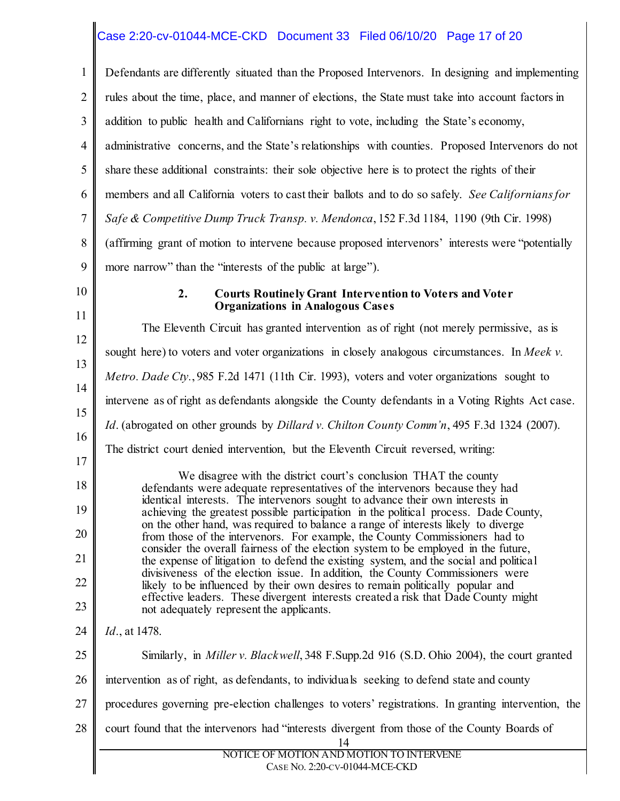# Case 2:20-cv-01044-MCE-CKD Document 33 Filed 06/10/20 Page 17 of 20

| $\mathbf{1}$   | Defendants are differently situated than the Proposed Intervenors. In designing and implementing                                                                                                                                                                                                                                                                                                                                                                                                                          |  |  |
|----------------|---------------------------------------------------------------------------------------------------------------------------------------------------------------------------------------------------------------------------------------------------------------------------------------------------------------------------------------------------------------------------------------------------------------------------------------------------------------------------------------------------------------------------|--|--|
| $\overline{2}$ | rules about the time, place, and manner of elections, the State must take into account factors in                                                                                                                                                                                                                                                                                                                                                                                                                         |  |  |
| 3              | addition to public health and Californians right to vote, including the State's economy,                                                                                                                                                                                                                                                                                                                                                                                                                                  |  |  |
| $\overline{4}$ | administrative concerns, and the State's relationships with counties. Proposed Intervenors do not                                                                                                                                                                                                                                                                                                                                                                                                                         |  |  |
| 5              | share these additional constraints: their sole objective here is to protect the rights of their                                                                                                                                                                                                                                                                                                                                                                                                                           |  |  |
| 6              | members and all California voters to cast their ballots and to do so safely. See Californians for                                                                                                                                                                                                                                                                                                                                                                                                                         |  |  |
| $\tau$         | Safe & Competitive Dump Truck Transp. v. Mendonca, 152 F.3d 1184, 1190 (9th Cir. 1998)                                                                                                                                                                                                                                                                                                                                                                                                                                    |  |  |
| 8              | (affirming grant of motion to intervene because proposed intervenors' interests were "potentially                                                                                                                                                                                                                                                                                                                                                                                                                         |  |  |
| 9              | more narrow" than the "interests of the public at large").                                                                                                                                                                                                                                                                                                                                                                                                                                                                |  |  |
| 10             | 2.<br><b>Courts Routinely Grant Intervention to Voters and Voter</b><br><b>Organizations in Analogous Cases</b>                                                                                                                                                                                                                                                                                                                                                                                                           |  |  |
| 11             | The Eleventh Circuit has granted intervention as of right (not merely permissive, as is                                                                                                                                                                                                                                                                                                                                                                                                                                   |  |  |
| 12             | sought here) to voters and voter organizations in closely analogous circumstances. In Meek v.                                                                                                                                                                                                                                                                                                                                                                                                                             |  |  |
| 13             | Metro. Dade Cty., 985 F.2d 1471 (11th Cir. 1993), voters and voter organizations sought to                                                                                                                                                                                                                                                                                                                                                                                                                                |  |  |
| 14             | intervene as of right as defendants alongside the County defendants in a Voting Rights Act case.                                                                                                                                                                                                                                                                                                                                                                                                                          |  |  |
| 15             | <i>Id.</i> (abrogated on other grounds by <i>Dillard v. Chilton County Comm'n</i> , 495 F.3d 1324 (2007).                                                                                                                                                                                                                                                                                                                                                                                                                 |  |  |
| 16<br>17       | The district court denied intervention, but the Eleventh Circuit reversed, writing:                                                                                                                                                                                                                                                                                                                                                                                                                                       |  |  |
| 18             | We disagree with the district court's conclusion THAT the county                                                                                                                                                                                                                                                                                                                                                                                                                                                          |  |  |
| 19             | defendants were adequate representatives of the intervenors because they had<br>identical interests. The intervenors sought to advance their own interests in                                                                                                                                                                                                                                                                                                                                                             |  |  |
| 20             | achieving the greatest possible participation in the political process. Dade County,<br>on the other hand, was required to balance a range of interests likely to diverge<br>from those of the intervenors. For example, the County Commissioners had to<br>consider the overall fairness of the election system to be employed in the future,<br>the expense of litigation to defend the existing system, and the social and political<br>divisiveness of the election issue. In addition, the County Commissioners were |  |  |
| 21             |                                                                                                                                                                                                                                                                                                                                                                                                                                                                                                                           |  |  |
| 22             |                                                                                                                                                                                                                                                                                                                                                                                                                                                                                                                           |  |  |
| 23             | likely to be influenced by their own desires to remain politically popular and<br>effective leaders. These divergent interests created a risk that Dade County might<br>not adequately represent the applicants.                                                                                                                                                                                                                                                                                                          |  |  |
| 24             | <i>Id.</i> , at 1478.                                                                                                                                                                                                                                                                                                                                                                                                                                                                                                     |  |  |
| 25             | Similarly, in <i>Miller v. Blackwell</i> , 348 F. Supp. 2d 916 (S.D. Ohio 2004), the court granted                                                                                                                                                                                                                                                                                                                                                                                                                        |  |  |
| 26             | intervention as of right, as defendants, to individuals seeking to defend state and county                                                                                                                                                                                                                                                                                                                                                                                                                                |  |  |
| 27             | procedures governing pre-election challenges to voters' registrations. In granting intervention, the                                                                                                                                                                                                                                                                                                                                                                                                                      |  |  |
| 28             | court found that the intervenors had "interests divergent from those of the County Boards of<br>14                                                                                                                                                                                                                                                                                                                                                                                                                        |  |  |
|                | NOTICE OF MOTION AND MOTION TO INTERVENE<br>CASE No. 2:20-CV-01044-MCE-CKD                                                                                                                                                                                                                                                                                                                                                                                                                                                |  |  |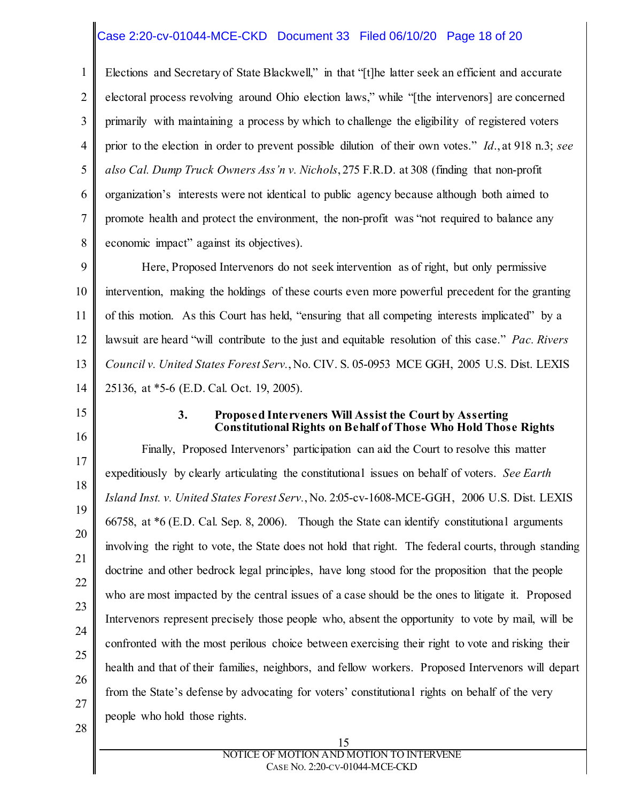### Case 2:20-cv-01044-MCE-CKD Document 33 Filed 06/10/20 Page 18 of 20

1 2 3 4 5 6 7 8 Elections and Secretary of State Blackwell," in that "[t]he latter seek an efficient and accurate electoral process revolving around Ohio election laws," while "[the intervenors] are concerned primarily with maintaining a process by which to challenge the eligibility of registered voters prior to the election in order to prevent possible dilution of their own votes." *Id*., at 918 n.3; *see also Cal. Dump Truck Owners Ass'n v. Nichols*, 275 F.R.D. at 308 (finding that non-profit organization's interests were not identical to public agency because although both aimed to promote health and protect the environment, the non-profit was "not required to balance any economic impact" against its objectives).

9 10 11 12 13 14 Here, Proposed Intervenors do not seek intervention as of right, but only permissive intervention, making the holdings of these courts even more powerful precedent for the granting of this motion. As this Court has held, "ensuring that all competing interests implicated" by a lawsuit are heard "will contribute to the just and equitable resolution of this case." *Pac. Rivers Council v. United States Forest Serv.*, No. CIV. S. 05-0953 MCE GGH, 2005 U.S. Dist. LEXIS 25136, at \*5-6 (E.D. Cal. Oct. 19, 2005).

15

#### **3. Proposed Interveners Will Assist the Court by Asserting Constitutional Rights on Behalf of Those Who Hold Those Rights**

16 17 18 19 20 21 22 23 24 25 26 27 28 Finally, Proposed Intervenors' participation can aid the Court to resolve this matter expeditiously by clearly articulating the constitutional issues on behalf of voters. *See Earth Island Inst. v. United States Forest Serv.*, No. 2:05-cv-1608-MCE-GGH, 2006 U.S. Dist. LEXIS 66758, at \*6 (E.D. Cal. Sep. 8, 2006). Though the State can identify constitutional arguments involving the right to vote, the State does not hold that right. The federal courts, through standing doctrine and other bedrock legal principles, have long stood for the proposition that the people who are most impacted by the central issues of a case should be the ones to litigate it. Proposed Intervenors represent precisely those people who, absent the opportunity to vote by mail, will be confronted with the most perilous choice between exercising their right to vote and risking their health and that of their families, neighbors, and fellow workers. Proposed Intervenors will depart from the State's defense by advocating for voters' constitutional rights on behalf of the very people who hold those rights.

#### 15 NOTICE OF MOTION AND MOTION TO INTERVENE CASE NO. 2:20-CV-01044-MCE-CKD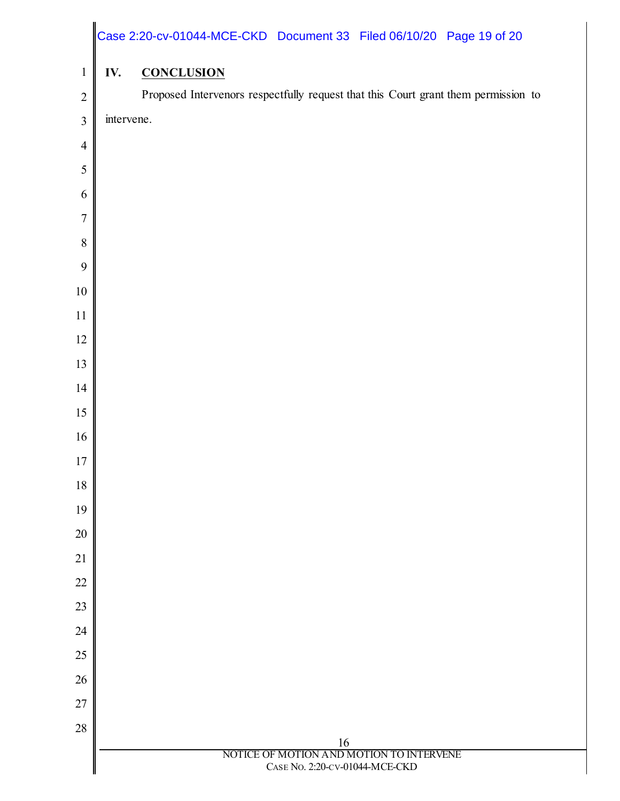|                  |            | Case 2:20-cv-01044-MCE-CKD Document 33 Filed 06/10/20 Page 19 of 20                |
|------------------|------------|------------------------------------------------------------------------------------|
| $\mathbf{1}$     | IV.        | <b>CONCLUSION</b>                                                                  |
| $\overline{2}$   |            | Proposed Intervenors respectfully request that this Court grant them permission to |
| $\mathfrak{Z}$   | intervene. |                                                                                    |
| $\overline{4}$   |            |                                                                                    |
| $\mathfrak s$    |            |                                                                                    |
| 6                |            |                                                                                    |
| $\overline{7}$   |            |                                                                                    |
| $\, 8$           |            |                                                                                    |
| $\boldsymbol{9}$ |            |                                                                                    |
| $10\,$           |            |                                                                                    |
| 11               |            |                                                                                    |
| 12               |            |                                                                                    |
| 13               |            |                                                                                    |
| 14               |            |                                                                                    |
| 15               |            |                                                                                    |
| 16               |            |                                                                                    |
| $17\,$           |            |                                                                                    |
| 18               |            |                                                                                    |
| 19               |            |                                                                                    |
| $20\,$           |            |                                                                                    |
| 21               |            |                                                                                    |
| $22\,$           |            |                                                                                    |
| 23               |            |                                                                                    |
| 24               |            |                                                                                    |
| 25               |            |                                                                                    |
| $26\,$           |            |                                                                                    |
| $27\,$           |            |                                                                                    |
| 28               |            |                                                                                    |
|                  |            | 16<br>NOTICE OF MOTION AND MOTION TO INTERVENE<br>CASE No. 2:20-CV-01044-MCE-CKD   |